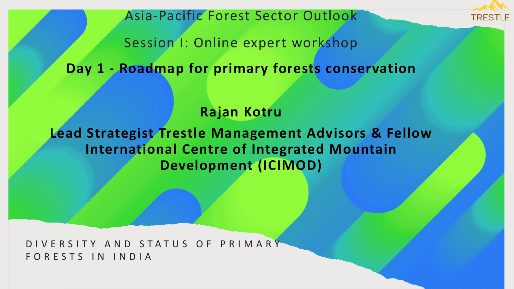

Asia-Pacific Forest Sector Outlook

Session I: Online expert workshop

**Day 1 - Roadmap for primary forests conservation** 

### **Rajan Kotru**

**Lead Strategist Trestle Management Advisors & Fellow International Centre of Integrated Mountain Development (ICIMOD)** 

DIVERSITY AND STATUS OF PRIMARY FORESTS IN INDIA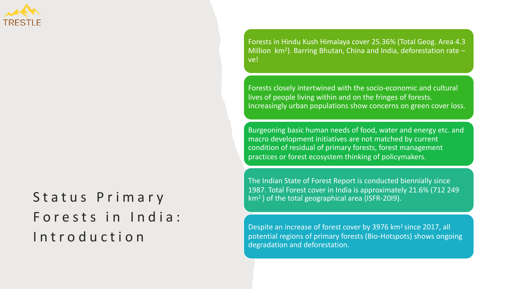

# Status Primary Forests in India: Introduction

Forests in Hindu Kush Himalaya cover 25.36% (Total Geog. Area 4.3 Million  $km^2$ ). Barring Bhutan, China and India, deforestation rate – ve!

Forests closely intertwined with the socio-economic and cultural lives of people living within and on the fringes of forests. Increasingly urban populations show concerns on green cover loss.

Burgeoning basic human needs of food, water and energy etc. and macro development initiatives are not matched by current condition of residual of primary forests, forest management practices or forest ecosystem thinking of policymakers.

The Indian State of Forest Report is conducted biennially since 1987. Total Forest cover in India is approximately 21.6% (712 249 km2 ) of the total geographical area (ISFR-20I9).

Despite an increase of forest cover by 3976 km2 since 2017, all potential regions of primary forests (Bio-Hotspots) shows ongoing degradation and deforestation.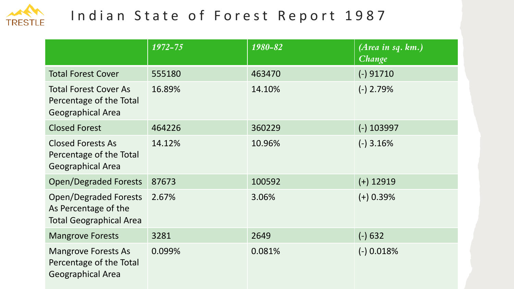

## Indian State of Forest Report 1987

|                                                                                        | 1972-75 | 1980-82 | (Area in sq. km.)<br>Change |
|----------------------------------------------------------------------------------------|---------|---------|-----------------------------|
| <b>Total Forest Cover</b>                                                              | 555180  | 463470  | $(-)$ 91710                 |
| <b>Total Forest Cover As</b><br>Percentage of the Total<br><b>Geographical Area</b>    | 16.89%  | 14.10%  | $(-)$ 2.79%                 |
| <b>Closed Forest</b>                                                                   | 464226  | 360229  | $(-)$ 103997                |
| <b>Closed Forests As</b><br>Percentage of the Total<br><b>Geographical Area</b>        | 14.12%  | 10.96%  | $(-)$ 3.16%                 |
| <b>Open/Degraded Forests</b>                                                           | 87673   | 100592  | $(+)$ 12919                 |
| <b>Open/Degraded Forests</b><br>As Percentage of the<br><b>Total Geographical Area</b> | 2.67%   | 3.06%   | $(+)$ 0.39%                 |
| <b>Mangrove Forests</b>                                                                | 3281    | 2649    | $(-) 632$                   |
| <b>Mangrove Forests As</b><br>Percentage of the Total<br><b>Geographical Area</b>      | 0.099%  | 0.081%  | $(-)$ 0.018%                |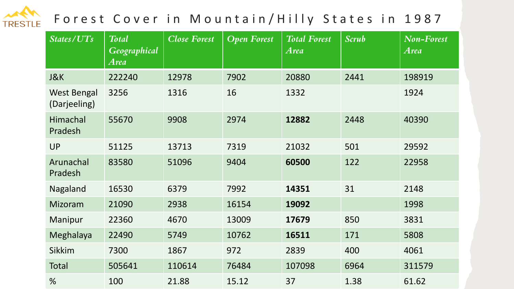#### Forest Cover in Mountain/Hilly States in 1987 TRESTLE

| States/UTs                         | <b>Total</b><br><b>Geographical</b><br><b>Area</b> | <b>Close Forest</b> | <b>Open Forest</b> | <b>Total Forest</b><br><b>Area</b> | <b>Scrub</b> | <b>Non-Forest</b><br><b>Area</b> |
|------------------------------------|----------------------------------------------------|---------------------|--------------------|------------------------------------|--------------|----------------------------------|
| J&K                                | 222240                                             | 12978               | 7902               | 20880                              | 2441         | 198919                           |
| <b>West Bengal</b><br>(Darjeeling) | 3256                                               | 1316                | 16                 | 1332                               |              | 1924                             |
| <b>Himachal</b><br>Pradesh         | 55670                                              | 9908                | 2974               | 12882                              | 2448         | 40390                            |
| <b>UP</b>                          | 51125                                              | 13713               | 7319               | 21032                              | 501          | 29592                            |
| Arunachal<br>Pradesh               | 83580                                              | 51096               | 9404               | 60500                              | 122          | 22958                            |
| Nagaland                           | 16530                                              | 6379                | 7992               | 14351                              | 31           | 2148                             |
| Mizoram                            | 21090                                              | 2938                | 16154              | 19092                              |              | 1998                             |
| Manipur                            | 22360                                              | 4670                | 13009              | 17679                              | 850          | 3831                             |
| Meghalaya                          | 22490                                              | 5749                | 10762              | 16511                              | 171          | 5808                             |
| <b>Sikkim</b>                      | 7300                                               | 1867                | 972                | 2839                               | 400          | 4061                             |
| Total                              | 505641                                             | 110614              | 76484              | 107098                             | 6964         | 311579                           |
| %                                  | 100                                                | 21.88               | 15.12              | 37                                 | 1.38         | 61.62                            |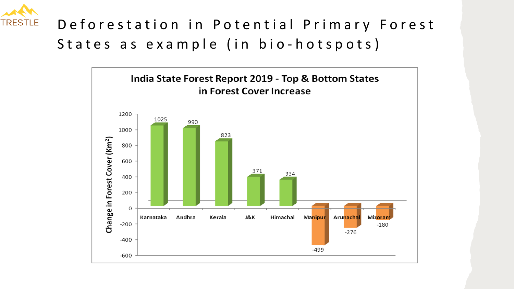

# Deforestation in Potential Primary Forest States as example (in bio-hotspots)

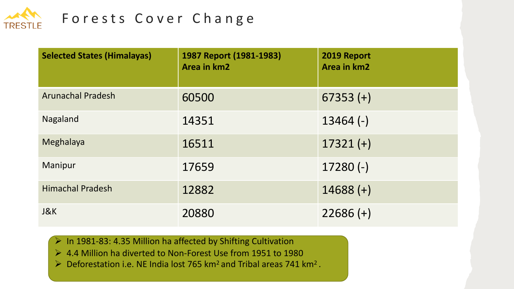

## Forests Cover Change

| <b>Selected States (Himalayas)</b> | 1987 Report (1981-1983)<br><b>Area in km2</b> | 2019 Report<br>Area in km2 |
|------------------------------------|-----------------------------------------------|----------------------------|
| <b>Arunachal Pradesh</b>           | 60500                                         | $67353 (+)$                |
| Nagaland                           | 14351                                         | $13464$ (-)                |
| Meghalaya                          | 16511                                         | $17321 (+)$                |
| Manipur                            | 17659                                         | $17280(-)$                 |
| <b>Himachal Pradesh</b>            | 12882                                         | $14688 (+)$                |
| J&K                                | 20880                                         | $22686 (+)$                |

- $\triangleright$  In 1981-83: 4.35 Million ha affected by Shifting Cultivation
- Ø 4.4 Million ha diverted to Non-Forest Use from 1951 to 1980
- $\triangleright$  Deforestation i.e. NE India lost 765 km<sup>2</sup> and Tribal areas 741 km<sup>2</sup>.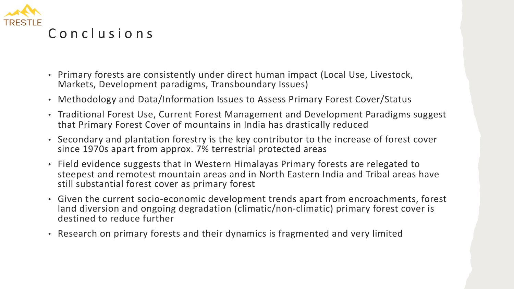

- Primary forests are consistently under direct human impact (Local Use, Livestock, Markets, Development paradigms, Transboundary Issues)
- Methodology and Data/Information Issues to Assess Primary Forest Cover/Status
- Traditional Forest Use, Current Forest Management and Development Paradigms suggest that Primary Forest Cover of mountains in India has drastically reduced
- Secondary and plantation forestry is the key contributor to the increase of forest cover since 1970s apart from approx. 7% terrestrial protected areas
- Field evidence suggests that in Western Himalayas Primary forests are relegated to steepest and remotest mountain areas and in North Eastern India and Tribal areas have still substantial forest cover as primary forest
- Given the current socio-economic development trends apart from encroachments, forest land diversion and ongoing degradation (climatic/non-climatic) primary forest cover is destined to reduce further
- Research on primary forests and their dynamics is fragmented and very limited